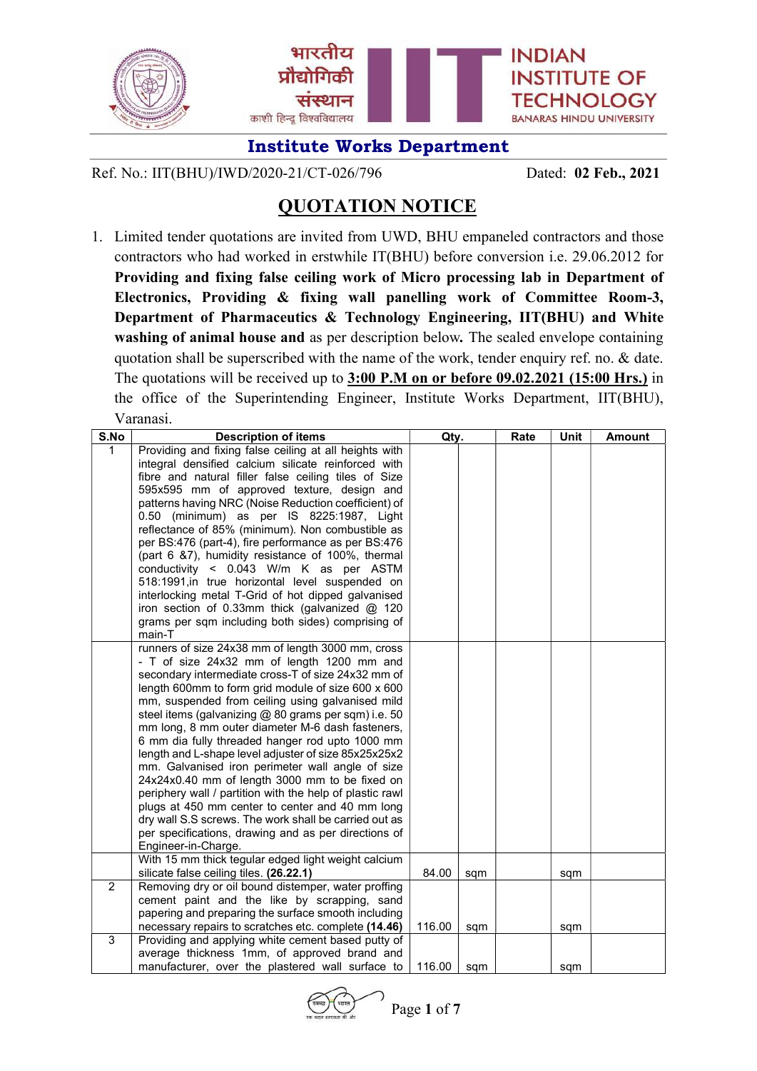

Ref. No.: IIT(BHU)/IWD/2020-21/CT-026/796 Dated: 02 Feb., 2021

# QUOTATION NOTICE

1. Limited tender quotations are invited from UWD, BHU empaneled contractors and those contractors who had worked in erstwhile IT(BHU) before conversion i.e. 29.06.2012 for Providing and fixing false ceiling work of Micro processing lab in Department of Electronics, Providing & fixing wall panelling work of Committee Room-3, Department of Pharmaceutics & Technology Engineering, IIT(BHU) and White washing of animal house and as per description below. The sealed envelope containing quotation shall be superscribed with the name of the work, tender enquiry ref. no. & date. The quotations will be received up to 3:00 P.M on or before 09.02.2021 (15:00 Hrs.) in the office of the Superintending Engineer, Institute Works Department, IIT(BHU), Varanasi.

| S.No           | <b>Description of items</b>                                                                              | Qty.   |     | Rate | Unit | <b>Amount</b> |
|----------------|----------------------------------------------------------------------------------------------------------|--------|-----|------|------|---------------|
| 1              | Providing and fixing false ceiling at all heights with                                                   |        |     |      |      |               |
|                | integral densified calcium silicate reinforced with                                                      |        |     |      |      |               |
|                | fibre and natural filler false ceiling tiles of Size                                                     |        |     |      |      |               |
|                | 595x595 mm of approved texture, design and                                                               |        |     |      |      |               |
|                | patterns having NRC (Noise Reduction coefficient) of                                                     |        |     |      |      |               |
|                | 0.50 (minimum) as per IS 8225:1987, Light                                                                |        |     |      |      |               |
|                | reflectance of 85% (minimum). Non combustible as                                                         |        |     |      |      |               |
|                | per BS:476 (part-4), fire performance as per BS:476                                                      |        |     |      |      |               |
|                | (part 6 &7), humidity resistance of 100%, thermal                                                        |        |     |      |      |               |
|                | conductivity < 0.043 W/m K as per ASTM                                                                   |        |     |      |      |               |
|                | 518:1991, in true horizontal level suspended on                                                          |        |     |      |      |               |
|                | interlocking metal T-Grid of hot dipped galvanised                                                       |        |     |      |      |               |
|                | iron section of 0.33mm thick (galvanized $@$ 120                                                         |        |     |      |      |               |
|                | grams per sqm including both sides) comprising of                                                        |        |     |      |      |               |
|                | main-T                                                                                                   |        |     |      |      |               |
|                | runners of size 24x38 mm of length 3000 mm, cross                                                        |        |     |      |      |               |
|                | - T of size 24x32 mm of length 1200 mm and                                                               |        |     |      |      |               |
|                | secondary intermediate cross-T of size 24x32 mm of                                                       |        |     |      |      |               |
|                | length 600mm to form grid module of size 600 x 600                                                       |        |     |      |      |               |
|                | mm, suspended from ceiling using galvanised mild<br>steel items (galvanizing @ 80 grams per sqm) i.e. 50 |        |     |      |      |               |
|                | mm long, 8 mm outer diameter M-6 dash fasteners,                                                         |        |     |      |      |               |
|                | 6 mm dia fully threaded hanger rod upto 1000 mm                                                          |        |     |      |      |               |
|                | length and L-shape level adjuster of size 85x25x25x2                                                     |        |     |      |      |               |
|                | mm. Galvanised iron perimeter wall angle of size                                                         |        |     |      |      |               |
|                | 24x24x0.40 mm of length 3000 mm to be fixed on                                                           |        |     |      |      |               |
|                | periphery wall / partition with the help of plastic rawl                                                 |        |     |      |      |               |
|                | plugs at 450 mm center to center and 40 mm long                                                          |        |     |      |      |               |
|                | dry wall S.S screws. The work shall be carried out as                                                    |        |     |      |      |               |
|                | per specifications, drawing and as per directions of                                                     |        |     |      |      |               |
|                | Engineer-in-Charge.                                                                                      |        |     |      |      |               |
|                | With 15 mm thick tegular edged light weight calcium                                                      |        |     |      |      |               |
|                | silicate false ceiling tiles. (26.22.1)                                                                  | 84.00  | sqm |      | sqm  |               |
| $\overline{2}$ | Removing dry or oil bound distemper, water proffing                                                      |        |     |      |      |               |
|                | cement paint and the like by scrapping, sand                                                             |        |     |      |      |               |
|                | papering and preparing the surface smooth including                                                      |        |     |      |      |               |
|                | necessary repairs to scratches etc. complete (14.46)                                                     | 116.00 | sqm |      | sqm  |               |
| 3              | Providing and applying white cement based putty of                                                       |        |     |      |      |               |
|                | average thickness 1mm, of approved brand and                                                             |        |     |      |      |               |
|                | manufacturer, over the plastered wall surface to                                                         | 116.00 | sqm |      | sqm  |               |

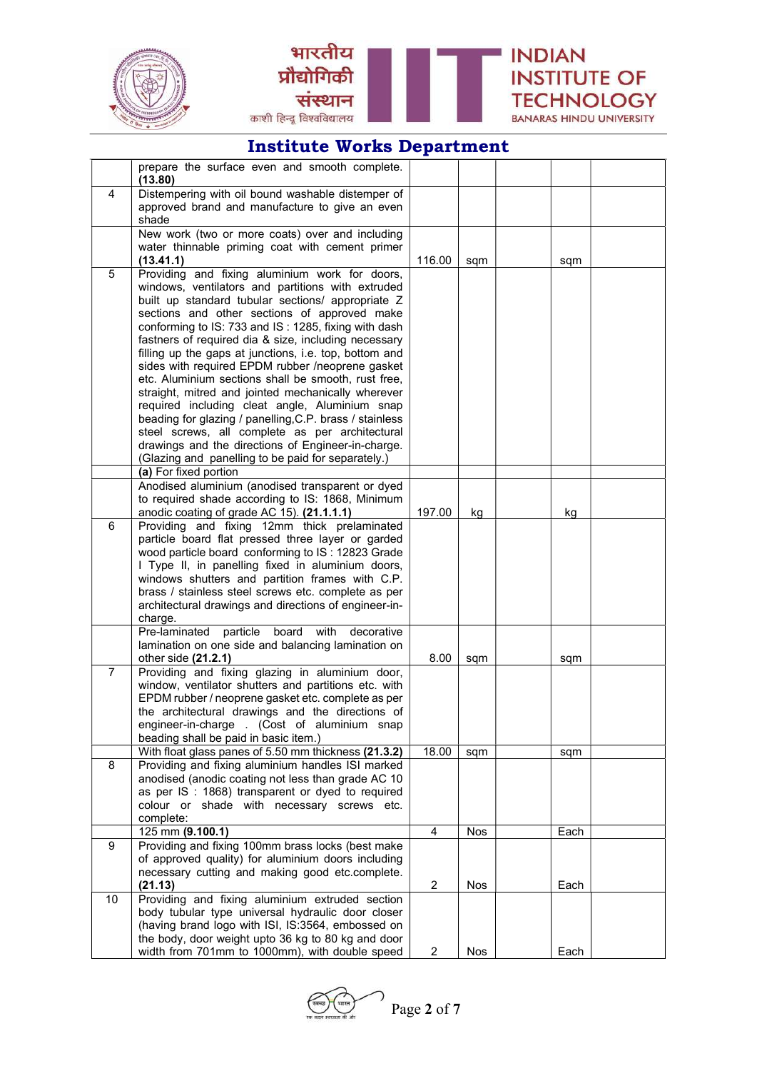



|                | prepare the surface even and smooth complete.                                                                  |                |     |      |  |
|----------------|----------------------------------------------------------------------------------------------------------------|----------------|-----|------|--|
|                | (13.80)                                                                                                        |                |     |      |  |
| 4              | Distempering with oil bound washable distemper of                                                              |                |     |      |  |
|                | approved brand and manufacture to give an even<br>shade                                                        |                |     |      |  |
|                | New work (two or more coats) over and including                                                                |                |     |      |  |
|                | water thinnable priming coat with cement primer                                                                |                |     |      |  |
|                | (13.41.1)                                                                                                      | 116.00         | sqm | sqm  |  |
| 5              | Providing and fixing aluminium work for doors,                                                                 |                |     |      |  |
|                | windows, ventilators and partitions with extruded                                                              |                |     |      |  |
|                | built up standard tubular sections/ appropriate Z                                                              |                |     |      |  |
|                | sections and other sections of approved make                                                                   |                |     |      |  |
|                | conforming to IS: 733 and IS: 1285, fixing with dash                                                           |                |     |      |  |
|                | fastners of required dia & size, including necessary                                                           |                |     |      |  |
|                | filling up the gaps at junctions, i.e. top, bottom and<br>sides with required EPDM rubber /neoprene gasket     |                |     |      |  |
|                | etc. Aluminium sections shall be smooth, rust free,                                                            |                |     |      |  |
|                | straight, mitred and jointed mechanically wherever                                                             |                |     |      |  |
|                | required including cleat angle, Aluminium snap                                                                 |                |     |      |  |
|                | beading for glazing / panelling, C.P. brass / stainless                                                        |                |     |      |  |
|                | steel screws, all complete as per architectural                                                                |                |     |      |  |
|                | drawings and the directions of Engineer-in-charge.                                                             |                |     |      |  |
|                | (Glazing and panelling to be paid for separately.)                                                             |                |     |      |  |
|                | (a) For fixed portion                                                                                          |                |     |      |  |
|                | Anodised aluminium (anodised transparent or dyed                                                               |                |     |      |  |
|                | to required shade according to IS: 1868, Minimum                                                               | 197.00         |     |      |  |
| 6              | anodic coating of grade AC 15). (21.1.1.1)<br>Providing and fixing 12mm thick prelaminated                     |                | kg  | kg   |  |
|                | particle board flat pressed three layer or garded                                                              |                |     |      |  |
|                | wood particle board conforming to IS: 12823 Grade                                                              |                |     |      |  |
|                | I Type II, in panelling fixed in aluminium doors,                                                              |                |     |      |  |
|                | windows shutters and partition frames with C.P.                                                                |                |     |      |  |
|                | brass / stainless steel screws etc. complete as per                                                            |                |     |      |  |
|                | architectural drawings and directions of engineer-in-                                                          |                |     |      |  |
|                | charge.                                                                                                        |                |     |      |  |
|                | Pre-laminated<br>particle<br>board<br>with<br>decorative<br>lamination on one side and balancing lamination on |                |     |      |  |
|                | other side (21.2.1)                                                                                            | 8.00           | sqm | sqm  |  |
| $\overline{7}$ | Providing and fixing glazing in aluminium door,                                                                |                |     |      |  |
|                | window, ventilator shutters and partitions etc. with                                                           |                |     |      |  |
|                | EPDM rubber / neoprene gasket etc. complete as per                                                             |                |     |      |  |
|                | the architectural drawings and the directions of                                                               |                |     |      |  |
|                | engineer-in-charge . (Cost of aluminium snap                                                                   |                |     |      |  |
|                | beading shall be paid in basic item.)                                                                          |                |     |      |  |
|                | With float glass panes of 5.50 mm thickness (21.3.2)                                                           | 18.00          | sqm | sqm  |  |
| 8              | Providing and fixing aluminium handles ISI marked                                                              |                |     |      |  |
|                | anodised (anodic coating not less than grade AC 10<br>as per IS : 1868) transparent or dyed to required        |                |     |      |  |
|                | colour or shade with necessary screws etc.                                                                     |                |     |      |  |
|                | complete:                                                                                                      |                |     |      |  |
|                | 125 mm (9.100.1)                                                                                               | $\overline{4}$ | Nos | Each |  |
| 9              | Providing and fixing 100mm brass locks (best make                                                              |                |     |      |  |
|                | of approved quality) for aluminium doors including                                                             |                |     |      |  |
|                | necessary cutting and making good etc.complete.                                                                |                |     |      |  |
|                | (21.13)                                                                                                        | $\overline{2}$ | Nos | Each |  |
| 10             | Providing and fixing aluminium extruded section<br>body tubular type universal hydraulic door closer           |                |     |      |  |
|                | (having brand logo with ISI, IS:3564, embossed on                                                              |                |     |      |  |
|                | the body, door weight upto 36 kg to 80 kg and door                                                             |                |     |      |  |
|                | width from 701mm to 1000mm), with double speed                                                                 | $\overline{c}$ | Nos | Each |  |

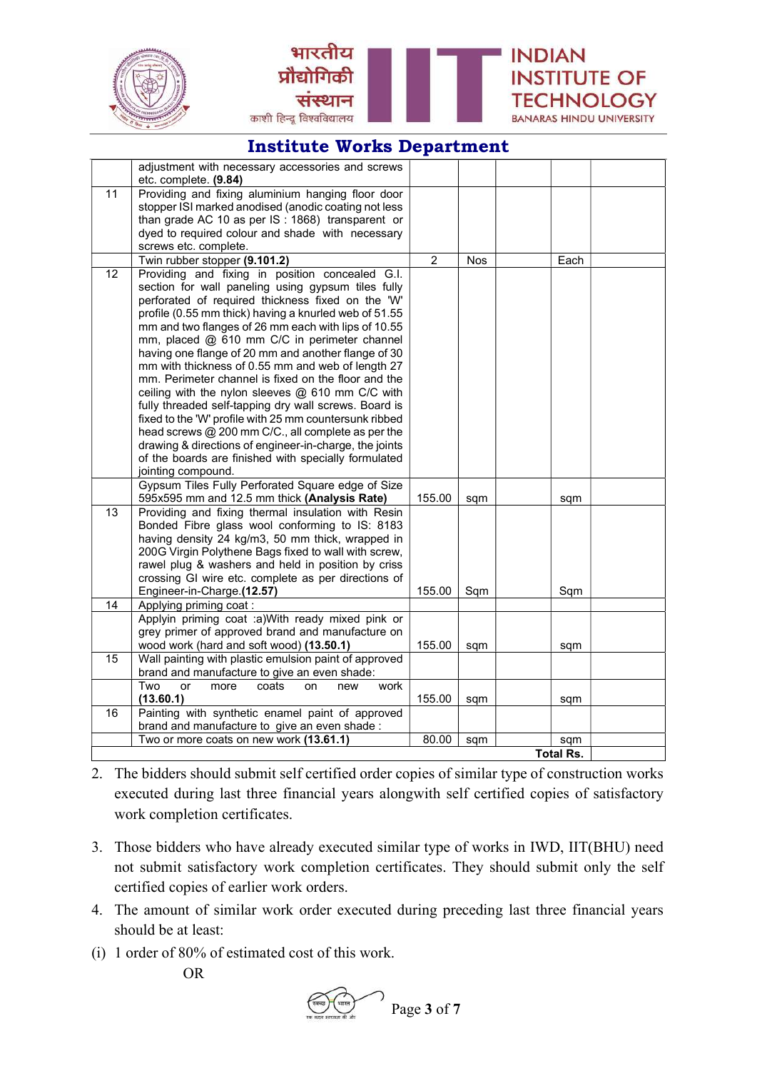



|    | adjustment with necessary accessories and screws       |                |     |                  |  |
|----|--------------------------------------------------------|----------------|-----|------------------|--|
|    | etc. complete. (9.84)                                  |                |     |                  |  |
| 11 | Providing and fixing aluminium hanging floor door      |                |     |                  |  |
|    | stopper ISI marked anodised (anodic coating not less   |                |     |                  |  |
|    | than grade AC 10 as per IS : 1868) transparent or      |                |     |                  |  |
|    | dyed to required colour and shade with necessary       |                |     |                  |  |
|    | screws etc. complete.                                  |                |     |                  |  |
|    | Twin rubber stopper (9.101.2)                          | $\overline{2}$ | Nos | Each             |  |
| 12 | Providing and fixing in position concealed G.I.        |                |     |                  |  |
|    | section for wall paneling using gypsum tiles fully     |                |     |                  |  |
|    | perforated of required thickness fixed on the 'W'      |                |     |                  |  |
|    | profile (0.55 mm thick) having a knurled web of 51.55  |                |     |                  |  |
|    | mm and two flanges of 26 mm each with lips of 10.55    |                |     |                  |  |
|    | mm, placed @ 610 mm C/C in perimeter channel           |                |     |                  |  |
|    | having one flange of 20 mm and another flange of 30    |                |     |                  |  |
|    | mm with thickness of 0.55 mm and web of length 27      |                |     |                  |  |
|    | mm. Perimeter channel is fixed on the floor and the    |                |     |                  |  |
|    | ceiling with the nylon sleeves $@$ 610 mm C/C with     |                |     |                  |  |
|    | fully threaded self-tapping dry wall screws. Board is  |                |     |                  |  |
|    | fixed to the 'W' profile with 25 mm countersunk ribbed |                |     |                  |  |
|    | head screws @ 200 mm C/C., all complete as per the     |                |     |                  |  |
|    | drawing & directions of engineer-in-charge, the joints |                |     |                  |  |
|    | of the boards are finished with specially formulated   |                |     |                  |  |
|    | jointing compound.                                     |                |     |                  |  |
|    | Gypsum Tiles Fully Perforated Square edge of Size      |                |     |                  |  |
|    | 595x595 mm and 12.5 mm thick (Analysis Rate)           | 155.00         | sqm | sqm              |  |
| 13 | Providing and fixing thermal insulation with Resin     |                |     |                  |  |
|    | Bonded Fibre glass wool conforming to IS: 8183         |                |     |                  |  |
|    | having density 24 kg/m3, 50 mm thick, wrapped in       |                |     |                  |  |
|    | 200G Virgin Polythene Bags fixed to wall with screw,   |                |     |                  |  |
|    | rawel plug & washers and held in position by criss     |                |     |                  |  |
|    | crossing GI wire etc. complete as per directions of    |                |     |                  |  |
|    | Engineer-in-Charge.(12.57)                             | 155.00         | Sqm | Sqm              |  |
| 14 | Applying priming coat:                                 |                |     |                  |  |
|    | Applyin priming coat :a)With ready mixed pink or       |                |     |                  |  |
|    | grey primer of approved brand and manufacture on       |                |     |                  |  |
|    | wood work (hard and soft wood) (13.50.1)               | 155.00         | sqm | sqm              |  |
| 15 | Wall painting with plastic emulsion paint of approved  |                |     |                  |  |
|    | brand and manufacture to give an even shade:           |                |     |                  |  |
|    | Two<br>or<br>more<br>coats<br>work<br>on<br>new        |                |     |                  |  |
|    | (13.60.1)                                              | 155.00         | sqm | sqm              |  |
| 16 | Painting with synthetic enamel paint of approved       |                |     |                  |  |
|    | brand and manufacture to give an even shade :          |                |     |                  |  |
|    | Two or more coats on new work (13.61.1)                | 80.00          | sqm | sqm              |  |
|    |                                                        |                |     | <b>Total Rs.</b> |  |

2. The bidders should submit self certified order copies of similar type of construction works executed during last three financial years alongwith self certified copies of satisfactory work completion certificates.

- 3. Those bidders who have already executed similar type of works in IWD, IIT(BHU) need not submit satisfactory work completion certificates. They should submit only the self certified copies of earlier work orders.
- 4. The amount of similar work order executed during preceding last three financial years should be at least:
- (i) 1 order of 80% of estimated cost of this work.

OR

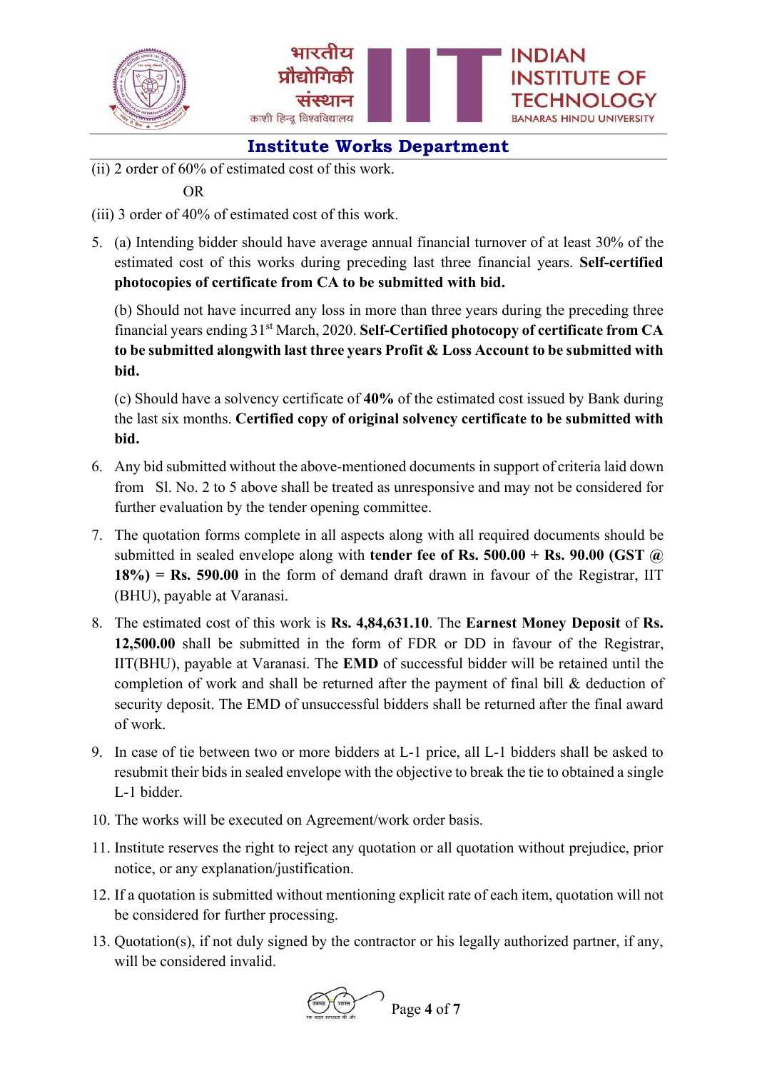



(ii) 2 order of 60% of estimated cost of this work.

#### OR

- (iii) 3 order of 40% of estimated cost of this work.
- 5. (a) Intending bidder should have average annual financial turnover of at least 30% of the estimated cost of this works during preceding last three financial years. Self-certified photocopies of certificate from CA to be submitted with bid.

 (b) Should not have incurred any loss in more than three years during the preceding three financial years ending 31<sup>st</sup> March, 2020. Self-Certified photocopy of certificate from CA to be submitted alongwith last three years Profit & Loss Account to be submitted with bid.

 (c) Should have a solvency certificate of 40% of the estimated cost issued by Bank during the last six months. Certified copy of original solvency certificate to be submitted with bid.

- 6. Any bid submitted without the above-mentioned documents in support of criteria laid down from Sl. No. 2 to 5 above shall be treated as unresponsive and may not be considered for further evaluation by the tender opening committee.
- 7. The quotation forms complete in all aspects along with all required documents should be submitted in sealed envelope along with **tender fee of Rs. 500.00 + Rs. 90.00 (GST**  $\omega$ )  $18\%$ ) = Rs. 590.00 in the form of demand draft drawn in favour of the Registrar, IIT (BHU), payable at Varanasi.
- 8. The estimated cost of this work is Rs. 4,84,631.10. The Earnest Money Deposit of Rs. 12,500.00 shall be submitted in the form of FDR or DD in favour of the Registrar, IIT(BHU), payable at Varanasi. The EMD of successful bidder will be retained until the completion of work and shall be returned after the payment of final bill & deduction of security deposit. The EMD of unsuccessful bidders shall be returned after the final award of work.
- 9. In case of tie between two or more bidders at L-1 price, all L-1 bidders shall be asked to resubmit their bids in sealed envelope with the objective to break the tie to obtained a single L-1 bidder.
- 10. The works will be executed on Agreement/work order basis.
- 11. Institute reserves the right to reject any quotation or all quotation without prejudice, prior notice, or any explanation/justification.
- 12. If a quotation is submitted without mentioning explicit rate of each item, quotation will not be considered for further processing.
- 13. Quotation(s), if not duly signed by the contractor or his legally authorized partner, if any, will be considered invalid.

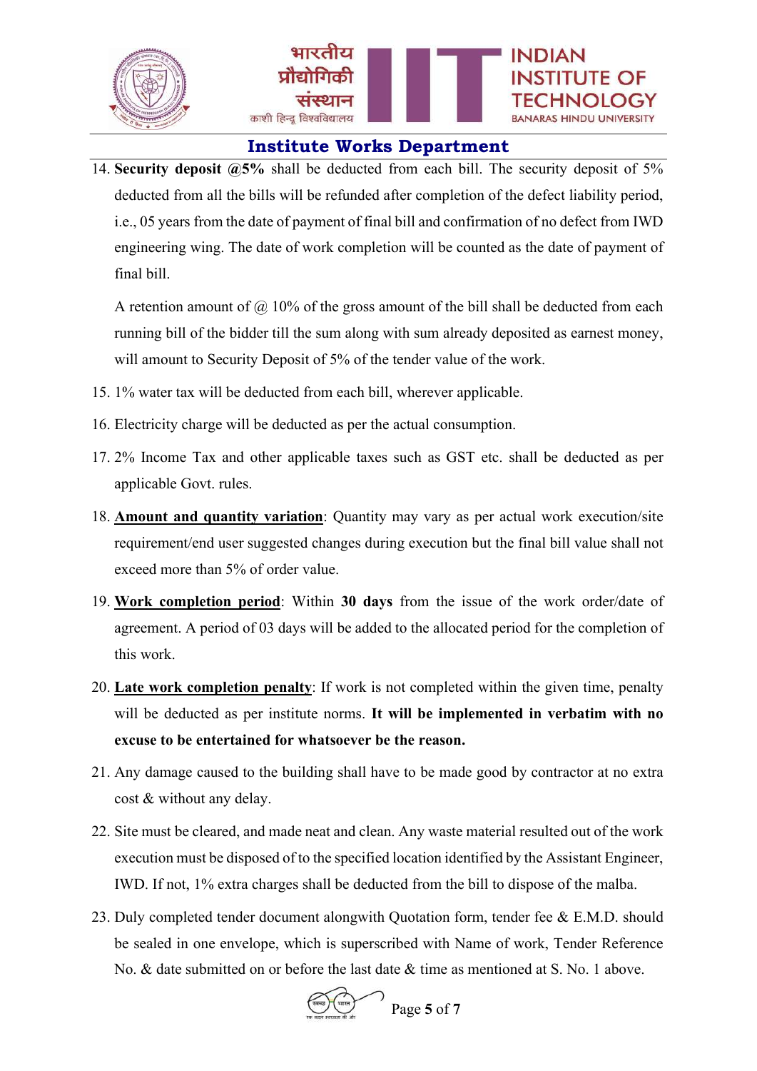

14. Security deposit  $\omega$ 5% shall be deducted from each bill. The security deposit of 5% deducted from all the bills will be refunded after completion of the defect liability period, i.e., 05 years from the date of payment of final bill and confirmation of no defect from IWD engineering wing. The date of work completion will be counted as the date of payment of final bill.

A retention amount of  $\omega$  10% of the gross amount of the bill shall be deducted from each running bill of the bidder till the sum along with sum already deposited as earnest money, will amount to Security Deposit of 5% of the tender value of the work.

- 15. 1% water tax will be deducted from each bill, wherever applicable.
- 16. Electricity charge will be deducted as per the actual consumption.
- 17. 2% Income Tax and other applicable taxes such as GST etc. shall be deducted as per applicable Govt. rules.
- 18. Amount and quantity variation: Quantity may vary as per actual work execution/site requirement/end user suggested changes during execution but the final bill value shall not exceed more than 5% of order value.
- 19. Work completion period: Within 30 days from the issue of the work order/date of agreement. A period of 03 days will be added to the allocated period for the completion of this work.
- 20. Late work completion penalty: If work is not completed within the given time, penalty will be deducted as per institute norms. It will be implemented in verbatim with no excuse to be entertained for whatsoever be the reason.
- 21. Any damage caused to the building shall have to be made good by contractor at no extra cost & without any delay.
- 22. Site must be cleared, and made neat and clean. Any waste material resulted out of the work execution must be disposed of to the specified location identified by the Assistant Engineer, IWD. If not, 1% extra charges shall be deducted from the bill to dispose of the malba.
- 23. Duly completed tender document alongwith Quotation form, tender fee & E.M.D. should be sealed in one envelope, which is superscribed with Name of work, Tender Reference No. & date submitted on or before the last date & time as mentioned at S. No. 1 above.

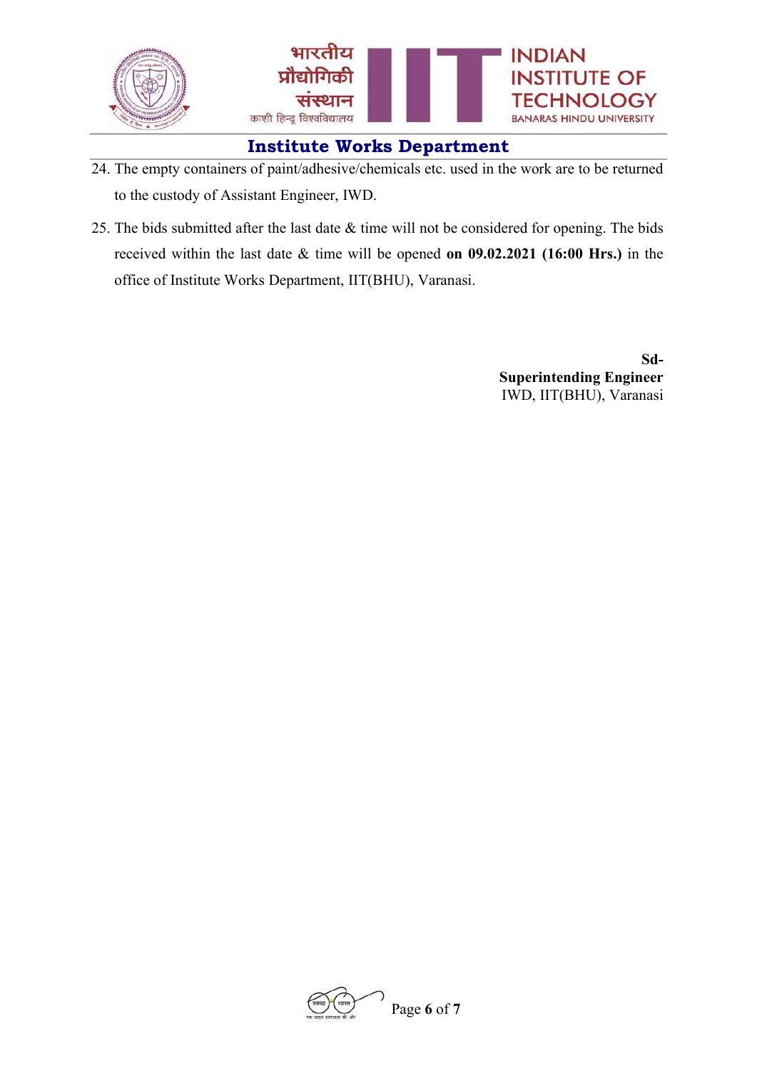

- 24. The empty containers of paint/adhesive/chemicals etc. used in the work are to be returned to the custody of Assistant Engineer, IWD.
- 25. The bids submitted after the last date & time will not be considered for opening. The bids received within the last date & time will be opened on 09.02.2021 (16:00 Hrs.) in the office of Institute Works Department, IIT(BHU), Varanasi.

Sd-Superintending Engineer IWD, IIT(BHU), Varanasi